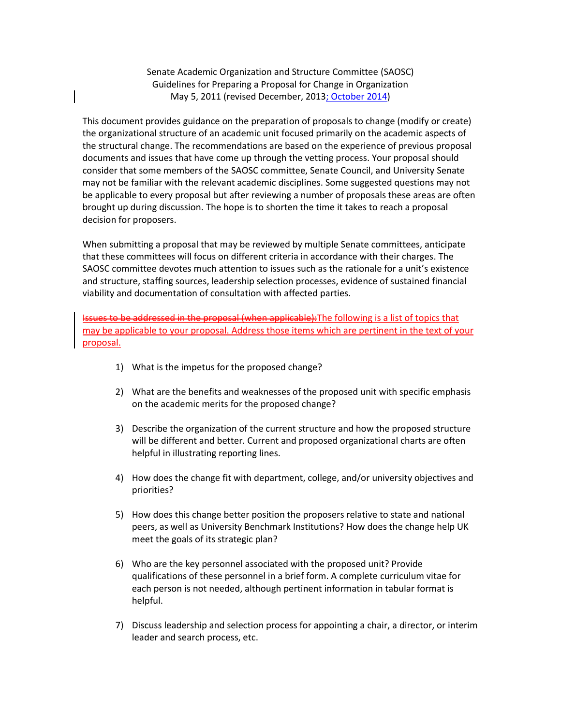Senate Academic Organization and Structure Committee (SAOSC) Guidelines for Preparing a Proposal for Change in Organization May 5, 2011 (revised December, 2013; October 2014)

This document provides guidance on the preparation of proposals to change (modify or create) the organizational structure of an academic unit focused primarily on the academic aspects of the structural change. The recommendations are based on the experience of previous proposal documents and issues that have come up through the vetting process. Your proposal should consider that some members of the SAOSC committee, Senate Council, and University Senate may not be familiar with the relevant academic disciplines. Some suggested questions may not be applicable to every proposal but after reviewing a number of proposals these areas are often brought up during discussion. The hope is to shorten the time it takes to reach a proposal decision for proposers.

When submitting a proposal that may be reviewed by multiple Senate committees, anticipate that these committees will focus on different criteria in accordance with their charges. The SAOSC committee devotes much attention to issues such as the rationale for a unit's existence and structure, staffing sources, leadership selection processes, evidence of sustained financial viability and documentation of consultation with affected parties.

Issues to be addressed in the proposal (when applicable):The following is a list of topics that may be applicable to your proposal. Address those items which are pertinent in the text of your proposal.

- 1) What is the impetus for the proposed change?
- 2) What are the benefits and weaknesses of the proposed unit with specific emphasis on the academic merits for the proposed change?
- 3) Describe the organization of the current structure and how the proposed structure will be different and better. Current and proposed organizational charts are often helpful in illustrating reporting lines.
- 4) How does the change fit with department, college, and/or university objectives and priorities?
- 5) How does this change better position the proposers relative to state and national peers, as well as University Benchmark Institutions? How does the change help UK meet the goals of its strategic plan?
- 6) Who are the key personnel associated with the proposed unit? Provide qualifications of these personnel in a brief form. A complete curriculum vitae for each person is not needed, although pertinent information in tabular format is helpful.
- 7) Discuss leadership and selection process for appointing a chair, a director, or interim leader and search process, etc.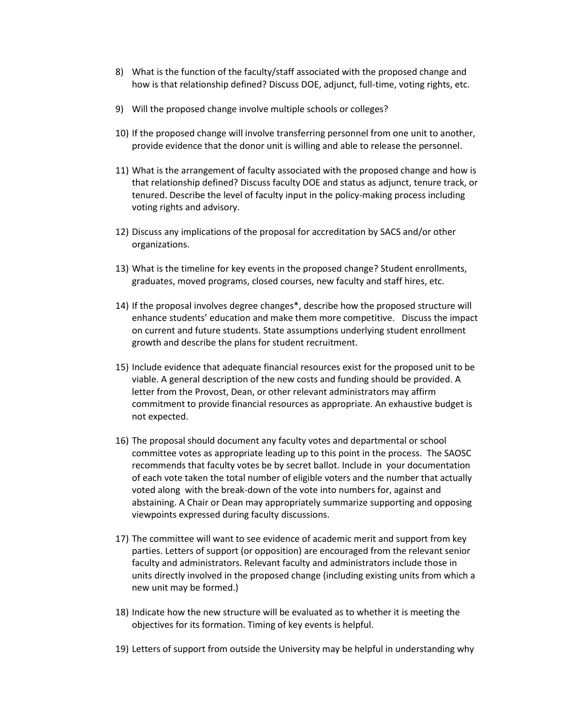- 8) What is the function of the faculty/staff associated with the proposed change and how is that relationship defined? Discuss DOE, adjunct, full-time, voting rights, etc.
- 9) Will the proposed change involve multiple schools or colleges?
- 10) If the proposed change will involve transferring personnel from one unit to another, provide evidence that the donor unit is willing and able to release the personnel.
- 11) What is the arrangement of faculty associated with the proposed change and how is that relationship defined? Discuss faculty DOE and status as adjunct, tenure track, or tenured. Describe the level of faculty input in the policy-making process including voting rights and advisory.
- 12) Discuss any implications of the proposal for accreditation by SACS and/or other organizations.
- 13) What is the timeline for key events in the proposed change? Student enrollments, graduates, moved programs, closed courses, new faculty and staff hires, etc.
- 14) If the proposal involves degree changes\*, describe how the proposed structure will enhance students' education and make them more competitive. Discuss the impact on current and future students. State assumptions underlying student enrollment growth and describe the plans for student recruitment.
- 15) Include evidence that adequate financial resources exist for the proposed unit to be viable. A general description of the new costs and funding should be provided. A letter from the Provost, Dean, or other relevant administrators may affirm commitment to provide financial resources as appropriate. An exhaustive budget is not expected.
- 16) The proposal should document any faculty votes and departmental or school committee votes as appropriate leading up to this point in the process. The SAOSC recommends that faculty votes be by secret ballot. Include in your documentation of each vote taken the total number of eligible voters and the number that actually voted along with the break-down of the vote into numbers for, against and abstaining. A Chair or Dean may appropriately summarize supporting and opposing viewpoints expressed during faculty discussions.
- 17) The committee will want to see evidence of academic merit and support from key parties. Letters of support (or opposition) are encouraged from the relevant senior faculty and administrators. Relevant faculty and administrators include those in units directly involved in the proposed change (including existing units from which a new unit may be formed.)
- 18) Indicate how the new structure will be evaluated as to whether it is meeting the objectives for its formation. Timing of key events is helpful.
- 19) Letters of support from outside the University may be helpful in understanding why